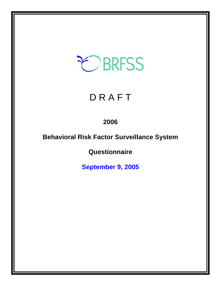# EBRFSS

## **DRAFT**

## **2006**

## **Behavioral Risk Factor Surveillance System**

**Questionnaire** 

**September 9, 2005**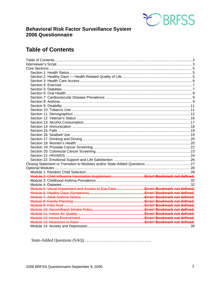

## **Behavioral Risk Factor Surveillance System** 2006 Questionnaire

## **Table of Contents**

| Module 5: Visual Impairment and Access to Eye Care  Error! Bookmark not defined. |  |
|----------------------------------------------------------------------------------|--|
|                                                                                  |  |
|                                                                                  |  |
|                                                                                  |  |
|                                                                                  |  |
|                                                                                  |  |
|                                                                                  |  |
|                                                                                  |  |
|                                                                                  |  |
|                                                                                  |  |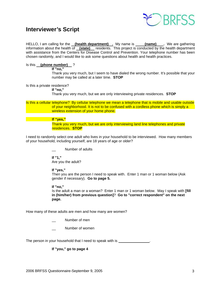

## **Interviewer's Script**

HELLO, I am calling for the **(health department)** . My name is **(name)** . We are gathering information about the health of **(state)** residents. This project is conducted by the health department with assistance from the Centers for Disease Control and Prevention. Your telephone number has been chosen randomly, and I would like to ask some questions about health and health practices.

#### Is this **(phone number)** ?

 **If "no,"** 

 Thank you very much, but I seem to have dialed the wrong number. It's possible that your number may be called at a later time. **STOP**

Is this a private residence?

 **If "no,"**

Thank you very much, but we are only interviewing private residences. **STOP**

Is this a cellular telephone? By cellular telephone we mean a telephone that is mobile and usable outside of your neighborhood. It is not to be confused with a cordless phone which is simply a wireless extension of your home phone.

#### **If "yes,"**

Thank you very much, but we are only interviewing land line telephones and private residences. **STOP** 

I need to randomly select one adult who lives in your household to be interviewed. How many members of your household, including yourself, are 18 years of age or older?

Number of adults

 **If "1,"**  Are you the adult?

 **If "yes,"** 

Then you are the person I need to speak with. Enter 1 man or 1 woman below (Ask gender if necessary). **Go to page 5.**

 **If "no,"** 

 Is the adult a man or a woman? Enter 1 man or 1 woman below. May I speak with **[fill in (him/her) from previous question]**? **Go to "correct respondent" on the next page.**

How many of these adults are men and how many are women?

Number of men

Number of women

The person in your household that I need to speak with is

#### **If "you," go to page 4**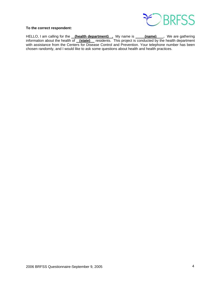

#### **To the correct respondent:**

HELLO, I am calling for the **(health department)** . My name is **(name)** Ne are gathering information about the health of **(state)** residents. This project is conducted by the health department with assistance from the Centers for Disease Control and Prevention. Your telephone number has been chosen randomly, and I would like to ask some questions about health and health practices.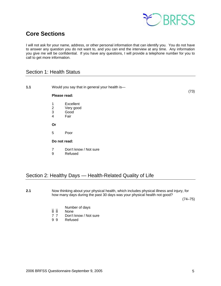

## **Core Sections**

I will not ask for your name, address, or other personal information that can identify you. You do not have to answer any question you do not want to, and you can end the interview at any time. Any information you give me will be confidential. If you have any questions, I will provide a telephone number for you to call to get more information.

## Section 1: Health Status

| 1.1 |                                                | Would you say that in general your health is- |      |
|-----|------------------------------------------------|-----------------------------------------------|------|
|     | Please read:                                   |                                               | (73) |
|     | 1<br>$\frac{2}{3}$<br>$\overline{\mathcal{A}}$ | Excellent<br>Very good<br>Good<br>Fair        |      |
|     | Or                                             |                                               |      |
|     | 5                                              | Poor                                          |      |
|     | Do not read:                                   |                                               |      |
|     | $\overline{7}$<br>9                            | Don't know / Not sure<br>Refused              |      |

## Section 2: Healthy Days — Health-Related Quality of Life

**2.1** Now thinking about your physical health, which includes physical illness and injury, for how many days during the past 30 days was your physical health not good?

 $(74-75)$ 

- $\frac{1}{8}$   $\frac{1}{8}$  Number of days
- None
- 7 7 Don't know / Not sure<br>9 9 Refused
- **Refused**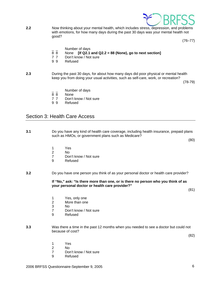

**2.2** Now thinking about your mental health, which includes stress, depression, and problems with emotions, for how many days during the past 30 days was your mental health not good?

 $(76 - 77)$ 

- $\frac{1}{8}$   $\frac{1}{8}$  Number of days
- 8 8 None **[If Q2.1 and Q2.2 = 88 (None), go to next section]**
- 7 7 Don't know / Not sure
- 9 9 Refused
- **2.3** During the past 30 days, for about how many days did poor physical or mental health keep you from doing your usual activities, such as self-care, work, or recreation?

 $(78-79)$ 

- Number of days
- 8 8 None
- 7 7 Don't know / Not sure
- 9 9 Refused

### Section 3: Health Care Access

**3.1** Do you have any kind of health care coverage, including health insurance, prepaid plans such as HMOs, or government plans such as Medicare?

(80)

- 
- 1 Yes 2 No
	- 7 Don't know / Not sure<br>9 Refused
	- **Refused**
- **3.2** Do you have one person you think of as your personal doctor or health care provider?

 **If "No," ask: "Is there more than one, or is there no person who you think of as your personal doctor or health care provider?"** 

(81)

- 1 Yes, only one
- 2 More than one
- 3 No
	- 7 Don't know / Not sure
	- 9 Refused
- **3.3** Was there a time in the past 12 months when you needed to see a doctor but could not because of cost?

(82)

- 1 Yes
- 2 No
	- 7 Don't know / Not sure
	- 9 Refused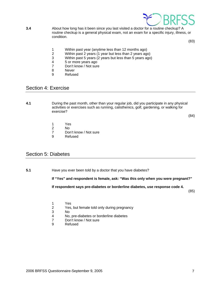

**3.4** About how long has it been since you last visited a doctor for a routine checkup? A routine checkup is a general physical exam, not an exam for a specific injury, illness, or condition.

(83)

- 1 Within past year (anytime less than 12 months ago)<br>2 Within past 2 years (1 year but less than 2 years ago
- 2 Within past 2 years (1 year but less than 2 years ago)<br>3 Within past 5 years (2 years but less than 5 years ago
- Within past 5 years (2 years but less than 5 years ago)
- 4 5 or more years ago<br>
7 Don't know / Not sure
- 7 Don't know / Not sure<br>8 Never
- **Never**
- 9 Refused

## Section 4: Exercise

**4.1** During the past month, other than your regular job, did you participate in any physical activities or exercises such as running, calisthenics, golf, gardening, or walking for exercise?

(84)

- 1 Yes
- 2 No
	- 7 Don't know / Not sure
	- 9 Refused

## Section 5: Diabetes

**5.1** Have you ever been told by a doctor that you have diabetes?

 **If "Yes" and respondent is female, ask: "Was this only when you were pregnant?"** 

**If respondent says pre-diabetes or borderline diabetes, use response code 4.** 

(85)

- 1 Yes<br>2 Yes.
- Yes, but female told only during pregnancy
- 3 No
- 4 No, pre-diabetes or borderline diabetes
- 7 Don't know / Not sure
- 9 Refused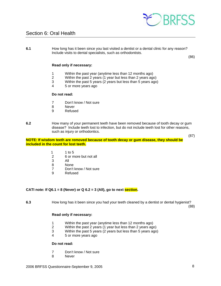

## Section 6: Oral Health

**6.1** How long has it been since you last visited a dentist or a dental clinic for any reason? Include visits to dental specialists, such as orthodontists.

(86)

#### **Read only if necessary:**

- 1 Within the past year (anytime less than 12 months ago)<br>2 Within the past 2 years (1 year but less than 2 years ago
- 2 Within the past 2 years (1 year but less than 2 years ago)
- 3 Within the past 5 years (2 years but less than 5 years ago)
- 4 5 or more years ago

#### **Do not read:**

- 7 Don't know / Not sure
- 8 Never
- 9 Refused
- **6.2** How many of your permanent teeth have been removed because of tooth decay or gum disease? Include teeth lost to infection, but do not include teeth lost for other reasons, such as injury or orthodontics.

**NOTE: If wisdom teeth are removed because of tooth decay or gum disease, they should be included in the count for lost teeth.** 

- 1 1 to 5
- 2 6 or more but not all<br>3 All
- 3 All
	- 8 None
	- 7 Don't know / Not sure<br>9 Refused
	- **Refused**

#### **CATI note: If Q6.1 = 8 (Never) or Q 6.2 = 3 (All), go to next section.**

**6.3** How long has it been since you had your teeth cleaned by a dentist or dental hygienist?

(88)

(87)

#### **Read only if necessary:**

- 1 Within the past year (anytime less than 12 months ago)
- 2 Within the past 2 years (1 year but less than 2 years ago)
- 3 Within the past 5 years (2 years but less than 5 years ago)
- 4 5 or more years ago

#### **Do not read:**

- 7 Don't know / Not sure
- 8 Never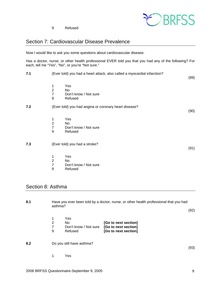

(89)

(90)

(91)

9 Refused

## Section 7: Cardiovascular Disease Prevalence

Now I would like to ask you some questions about cardiovascular disease.

Has a doctor, nurse, or other health professional EVER told you that you had any of the following? For each, tell me "Yes", "No", or you're "Not sure."

- **7.1** (Ever told) you had a heart attack, also called a myocardial infarction?
	- 1 Yes<br>2 No
	- No.
	- 7 Don't know / Not sure
	- 9 Refused
- **7.2** (Ever told) you had angina or coronary heart disease?
	- 1 Yes
- 2 No
	- 7 Don't know / Not sure
	- 9 Refused
- **7.3** (Ever told) you had a stroke?
	- 1 Yes
		-
	- 2 No<br>7 Dor Don't know / Not sure
	- 9 Refused

## Section 8: Asthma

| 8.1 |                  | Have you ever been told by a doctor, nurse, or other health professional that you had<br>asthma?<br>(92) |                                                                      |      |
|-----|------------------|----------------------------------------------------------------------------------------------------------|----------------------------------------------------------------------|------|
|     | 1<br>2<br>7<br>9 | Yes<br>No.<br>Don't know / Not sure<br>Refused                                                           | [Go to next section]<br>[Go to next section]<br>[Go to next section] |      |
| 8.2 |                  | Do you still have asthma?                                                                                |                                                                      | (93) |
|     |                  | Yes                                                                                                      |                                                                      |      |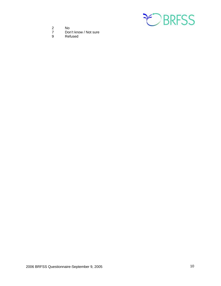

- 
- 2 No<br>7 Dor 7 Don't know / Not sure<br>9 Refused
- Refused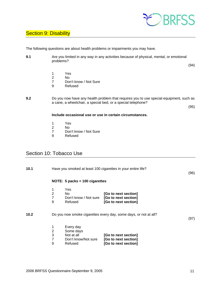

## **Section 9: Disability**

The following questions are about health problems or impairments you may have.

**9.1** Are you limited in any way in any activities because of physical, mental, or emotional problems?

(94)

- 1 Yes<br>2 No
- 2 No<br>7 Dor
- 7 Don't know / Not Sure<br>9 Refused
- **Refused**

**9.2** Do you now have any health problem that requires you to use special equipment, such as a cane, a wheelchair, a special bed, or a special telephone?

(95)

#### **Include occasional use or use in certain circumstances.**

- 1 Yes<br>2 No
- 2 No<br>7 Dor
- 7 Don't know / Not Sure<br>9 Refused
- **Refused**

## Section 10: Tobacco Use

| 10.1 |                               |                                                                        | Have you smoked at least 100 cigarettes in your entire life?         | (96) |
|------|-------------------------------|------------------------------------------------------------------------|----------------------------------------------------------------------|------|
|      |                               | NOTE: $5$ packs = 100 cigarettes                                       |                                                                      |      |
|      | 1<br>$\overline{2}$<br>7<br>9 | Yes<br>No.<br>Don't know / Not sure<br>Refused                         | [Go to next section]<br>[Go to next section]<br>[Go to next section] |      |
| 10.2 |                               |                                                                        | Do you now smoke cigarettes every day, some days, or not at all?     | (97) |
|      | 1<br>2<br>3<br>7<br>9         | Every day<br>Some days<br>Not at all<br>Don't know/Not sure<br>Refused | [Go to next section]<br>[Go to next section]<br>[Go to next section] |      |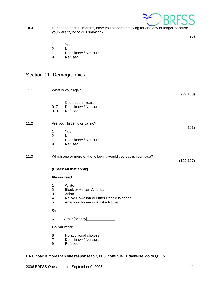

**10.3** During the past 12 months, have you stopped smoking for one day or longer because you were trying to quit smoking?

(98)

- 
- 1 Yes 2 No<br>7 Dor
- 7 Don't know / Not sure<br>9 Refused
- **Refused**

## Section 11: Demographics

| 11.1 | What is your age?                                                   |                                                                                                                                     | $(99-100)$  |
|------|---------------------------------------------------------------------|-------------------------------------------------------------------------------------------------------------------------------------|-------------|
|      | 0 <sub>7</sub><br>0 <sub>9</sub>                                    | Code age in years<br>Don't know / Not sure<br>Refused                                                                               |             |
| 11.2 |                                                                     | Are you Hispanic or Latino?                                                                                                         |             |
|      | 1<br>$\overline{2}$<br>$\overline{7}$<br>9                          | Yes<br><b>No</b><br>Don't know / Not sure<br>Refused                                                                                | (101)       |
| 11.3 |                                                                     | Which one or more of the following would you say is your race?                                                                      | $(102-107)$ |
|      |                                                                     | (Check all that apply)                                                                                                              |             |
|      | Please read:                                                        |                                                                                                                                     |             |
|      | $\mathbf{1}$<br>$\overline{2}$<br>3<br>$\overline{\mathbf{4}}$<br>5 | White<br><b>Black or African American</b><br>Asian<br>Native Hawaiian or Other Pacific Islander<br>American Indian or Alaska Native |             |
|      | Or                                                                  |                                                                                                                                     |             |
|      | 6                                                                   | Other [specify]__________________                                                                                                   |             |
|      | Do not read:                                                        |                                                                                                                                     |             |
|      | 8<br>$\overline{7}$<br>9                                            | No additional choices<br>Don't know / Not sure<br>Refused                                                                           |             |

#### **CATI note: If more than one response to Q11.3; continue. Otherwise, go to Q11.5**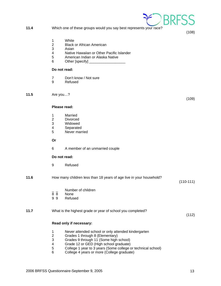- **11.4** Which one of these groups would you say best represents your race?
	- 1 White
	- 2 Black or African American
	- 3 Asian<br>4 Native
	- Native Hawaiian or Other Pacific Islander
	- 5 American Indian or Alaska Native
	- 6 Other [specify] \_\_\_\_\_\_\_\_\_\_\_\_\_\_\_\_\_\_

- 7 Don't know / Not sure
- 9 Refused

**11.5** Are you…?

#### **Please read:**

- 1 Married
- 2 Divorced<br>3 Widowed
- Widowed
- 4 Separated
- 5 Never married

#### **Or**

6 A member of an unmarried couple

#### **Do not read:**

9 Refused

#### **11.6** How many children less than 18 years of age live in your household?

- Number of children
- 8 8 None
- 9 9 Refused

#### **11.7** What is the highest grade or year of school you completed?

#### **Read only if necessary:**

- 1 Never attended school or only attended kindergarten
- 2 Grades 1 through 8 (Elementary)
- 3 Grades 9 through 11 (Some high school)
- 4 Grade 12 or GED (High school graduate)<br>5 College 1 year to 3 years (Some college of
- 5 College 1 year to 3 years (Some college or technical school)<br>6 College 4 years or more (College graduate)
- 6 College 4 years or more (College graduate)



(109)

(108)

(110-111)

(112)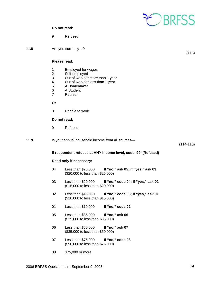

9 Refused

**11.8** Are you currently…?

(113)

#### **Please read:**

- 1 Employed for wages<br>2 Self-employed
- 2 Self-employed<br>3 Out of work for
- Out of work for more than 1 year
- 4 Out of work for less than 1 year<br>5 A Homemaker
- 5 A Homemaker
- 6 A Student
- 7 Retired

 **Or**

8 Unable to work

#### **Do not read:**

9 Refused

| 11.9 | Is your annual household income from all sources- |               |
|------|---------------------------------------------------|---------------|
|      |                                                   | $(114 - 115)$ |

#### **If respondent refuses at ANY income level, code '99' (Refused)**

#### **Read only if necessary:**

- 04 Less than \$25,000 **If "no," ask 05; if "yes," ask 03** (\$20,000 to less than \$25,000)
- 03 Less than \$20,000 **If "no," code 04; if "yes," ask 02** (\$15,000 to less than \$20,000)
- 02 Less than \$15,000 **If "no," code 03; if "yes," ask 01** (\$10,000 to less than \$15,000)
- 01 Less than \$10,000 **If "no," code 02**
- 05 Less than \$35,000 **If "no," ask 06** (\$25,000 to less than \$35,000)
- 06 Less than \$50,000 **If "no," ask 07** (\$35,000 to less than \$50,000)
- 07 Less than \$75,000 **If "no," code 08** (\$50,000 to less than \$75,000)
- 08 \$75,000 or more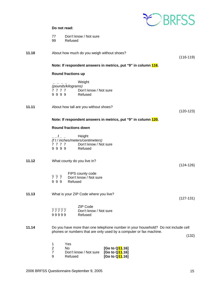

99 Refused

| 11.10 | About how much do you weigh without shoes? |
|-------|--------------------------------------------|
|       |                                            |

(116-119)

#### **Note: If respondent answers in metrics, put "9" in column 116.**

#### **Round fractions up**

|                    | Weight                |
|--------------------|-----------------------|
| (pounds/kilograms) |                       |
| 7777               | Don't know / Not sure |
| 9999               | Refused               |

**11.11** About how tall are you without shoes?

(120-123)

(124-126)

(127-131)

#### **Note: If respondent answers in metrics, put "9" in column 120.**

#### **Round fractions down**

| /__   Height<br>$\overline{\phantom{a}}$ |                                   |
|------------------------------------------|-----------------------------------|
|                                          | (f t / inches/meters/centimeters) |
| 7777                                     | Don't know / Not sure             |
| 9999                                     | Refused                           |

- **11.12** What county do you live in?
	- $\frac{1}{7} \frac{1}{7}$  FIPS county code<br>7 7 7 Don't know / Not s
	- $\overline{7}$   $\overline{7}$   $\overline{7}$  Don't know / Not sure<br>9 9 9 Refused **Refused**
	-

#### **11.13** What is your ZIP Code where you live?

|       | ZIP Code              |
|-------|-----------------------|
| 77777 | Don't know / Not sure |
| 99999 | Refused               |

**11.14** Do you have more than one telephone number in your household? Do not include cell phones or numbers that are only used by a computer or fax machine.

(132)

|   | Yes                                  |                |
|---|--------------------------------------|----------------|
|   | N٥                                   | [Go to Q11.16] |
|   | Don't know / Not sure [Go to Q11.16] |                |
| a | Refused                              | [Go to Q11.16] |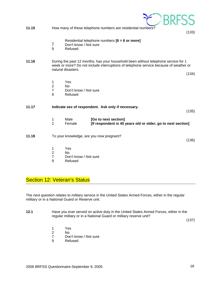| 11.15 |                                            |                                                      | How many of these telephone numbers are residential numbers?                                                                                                                | (133) |
|-------|--------------------------------------------|------------------------------------------------------|-----------------------------------------------------------------------------------------------------------------------------------------------------------------------------|-------|
|       | $\overline{7}$<br>9                        | Don't know / Not sure<br>Refused                     | Residential telephone numbers $[6 = 6$ or more]                                                                                                                             |       |
| 11.16 |                                            | natural disasters.                                   | During the past 12 months, has your household been without telephone service for 1<br>week or more? Do not include interruptions of telephone service because of weather or | (134) |
|       |                                            |                                                      |                                                                                                                                                                             |       |
|       | 1<br>$\overline{2}$<br>$\overline{7}$<br>9 | Yes<br><b>No</b><br>Don't know / Not sure<br>Refused |                                                                                                                                                                             |       |
| 11.17 |                                            |                                                      | Indicate sex of respondent. Ask only if necessary.                                                                                                                          | (135) |
|       | 1<br>$\overline{2}$                        | Male<br>Female                                       | [Go to next section]<br>[If respondent is 45 years old or older, go to next section]                                                                                        |       |
| 11.18 |                                            |                                                      | To your knowledge, are you now pregnant?                                                                                                                                    | (136) |
|       | 1                                          | Yes                                                  |                                                                                                                                                                             |       |
|       | $\overline{2}$<br>7                        | <b>No</b><br>Don't know / Not sure                   |                                                                                                                                                                             |       |
|       | 9                                          | Refused                                              |                                                                                                                                                                             |       |

## Section 12: Veteran's Status

The next question relates to military service in the United States Armed Forces, either in the regular military or in a National Guard or Reserve unit.

**12.1** Have you ever served on active duty in the United States Armed Forces, either in the regular military or in a National Guard or military reserve unit?

(137)

- 1 Yes<br>2 No
- No.
- 7 Don't know / Not sure<br>9 Refused
- **Refused**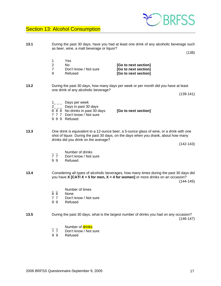## **Section 13: Alcohol Consumption**

as beer, wine, a malt beverage or liquor?  $(138)$  1 Yes 2 No **[Go to next section]** 7 Don't know / Not sure **[Go to next section]** 9 Refused **[Go to next section] 13.2** During the past 30 days, how many days per week or per month did you have at least one drink of any alcoholic beverage?  $1_{---}$  Days per week  $2_{---}$  Days in past 30 days 8 8 8 No drinks in past 30 days **[Go to next section]** 7 7 7 Don't know / Not sure 9 9 9 Refused **13.3** One drink is equivalent to a 12-ounce beer, a 5-ounce glass of wine, or a drink with one shot of liquor. During the past 30 days, on the days when you drank, about how many drinks did you drink on the average? (142-143)  $\frac{1}{7}$   $\frac{1}{7}$  Number of drinks Don't know / Not sure 9 9 Refused you have **X [CATI X = 5 for men, X = 4 for women]** or more drinks on an occasion?  $\frac{1}{8}$   $\frac{1}{8}$  Number of times None 7 7 Don't know / Not sure 9 9 Refused **13.5** During the past 30 days, what is the largest number of drinks you had on any occasion? (146-147) \_ \_ Number of <mark>drinks</mark><br>7 7 Don't know / Not : Don't know / Not sure 9 9 Refused

**13.1** During the past 30 days, have you had at least one drink of any alcoholic beverage such



(139-141)

**13.4** Considering all types of alcoholic beverages, how many times during the past 30 days did (144-145)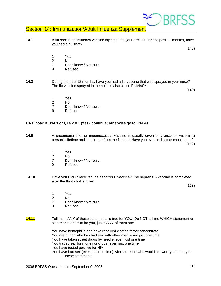

## Section 14: Immunization/Adult Influenza Supplement

**14.1** A flu shot is an influenza vaccine injected into your arm. During the past 12 months, have you had a flu shot?

(148)

- 1 Yes<br>2 No
- 2 No
	- 7 Don't know / Not sure
	- 9 Refused
- **14.2** During the past 12 months, have you had a flu vaccine that was sprayed in your nose? The flu vaccine sprayed in the nose is also called FluMist™.

(149)

- 1 Yes
- 2 No
	- 7 Don't know / Not sure
	- 9 Refused

#### **CATI note: If Q14.1 or Q14.2 = 1 (Yes), continue; otherwise go to Q14.4s.**

**14.9** A pneumonia shot or pneumococcal vaccine is usually given only once or twice in a person's lifetime and is different from the flu shot. Have you ever had a pneumonia shot?

 $(162)$ 

- 1 Yes
- 2 No
	- 7 Don't know / Not sure
	- 9 Refused
- **14.10** Have you EVER received the hepatitis B vaccine? The hepatitis B vaccine is completed after the third shot is given.

(163)

- 1 Yes
- 2 No
	- 7 Don't know / Not sure
	- 9 Refused
- **14.11** Tell me if ANY of these statements is true for YOU. Do NOT tell me WHICH statement or statements are true for you, just if ANY of them are:

 You have hemophilia and have received clotting factor concentrate You are a man who has had sex with other men, even just one time You have taken street drugs by needle, even just one time You traded sex for money or drugs, even just one time You have tested positive for HIV You have had sex (even just one time) with someone who would answer "yes" to any of these statements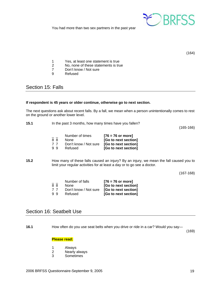

You had more than two sex partners in the past year

(164)

- 1 Yes, at least one statement is true<br>2 No, none of these statements is true
- No, none of these statements is true
- 7 Don't know / Not sure<br>9 Refused
- **Refused**

## Section 15: Falls

#### **If respondent is 45 years or older continue, otherwise go to next section.**

The next questions ask about recent falls. By a fall, we mean when a person unintentionally comes to rest on the ground or another lower level.

| 15.1 | In the past 3 months, how many times have you fallen? |
|------|-------------------------------------------------------|
|      |                                                       |

(165-166)

|    | Number of times       | $[76 = 76$ or more]  |
|----|-----------------------|----------------------|
| 88 | <b>None</b>           | [Go to next section] |
| 77 | Don't know / Not sure | [Go to next section] |
| 99 | Refused               | [Go to next section] |

**15.2** How many of these falls caused an injury? By an injury, we mean the fall caused you to limit your regular activities for at least a day or to go see a doctor.

(167-168)

|    | Number of falls       | $[76 = 76$ or more]  |
|----|-----------------------|----------------------|
| 88 | <b>None</b>           | [Go to next section] |
| 77 | Don't know / Not sure | [Go to next section] |
| 99 | Refused               | [Go to next section] |

## Section 16: Seatbelt Use

**16.1** How often do you use seat belts when you drive or ride in a car? Would you say—

(169)

#### **Please read:**

- 1 Always
- 2 Nearly always
- 3 Sometimes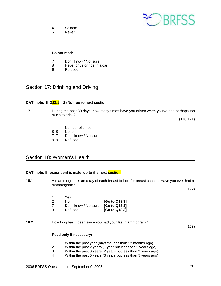

- 4 Seldom
- 5 Never

- 7 Don't know / Not sure<br>8 Never drive or ride in a
- Never drive or ride in a car
- 9 Refused

## Section 17: Drinking and Driving

#### CATI note: If  $Q_13.1 = 2$  (No); go to next section.

**17.1** During the past 30 days, how many times have you driven when you've had perhaps too much to drink?

(170-171)

- $\overline{88}$  Number of times
- None
- 7 7 Don't know / Not sure<br>9 9 Refused
- 9 9

## Section 18: Women's Health

#### **CATI note: If respondent is male, go to the next section.**

**18.1** A mammogram is an x-ray of each breast to look for breast cancer. Have you ever had a mammogram? (172)

> 1 Yes 2 No **[Go to Q18.3]** 7 Don't know / Not sure **[Go to Q18.3]** 9 Refused **[Go to Q18.3]**

**18.2** How long has it been since you had your last mammogram?

(173)

#### **Read only if necessary:**

- 1 Within the past year (anytime less than 12 months ago)
- 2 Within the past 2 years (1 year but less than 2 years ago)
- 3 Within the past 3 years (2 years but less than 3 years ago)
- 4 Within the past 5 years (3 years but less than 5 years ago)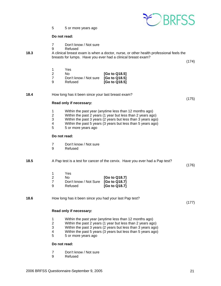

5 5 or more years ago

#### **Do not read:**

- 7 Don't know / Not sure
- 9 Refused
- **18.3** A clinical breast exam is when a doctor, nurse, or other health professional feels the breasts for lumps. Have you ever had a clinical breast exam?

(174)

|   | Yes                                 |               |
|---|-------------------------------------|---------------|
|   | N٥                                  | [Go to Q18.5] |
|   | Don't know / Not sure [Go to Q18.5] |               |
| a | Refused                             | [Go to Q18.5] |

**18.4** How long has it been since your last breast exam?

(175)

#### **Read only if necessary:**

- 1 Within the past year (anytime less than 12 months ago)<br>2 Within the past 2 years (1 year but less than 2 years ago
- 2 Within the past 2 years (1 year but less than 2 years ago)
- 3 Within the past 3 years (2 years but less than 3 years ago)
- 4 Within the past 5 years (3 years but less than 5 years ago)<br>5 5 or more vears ago
- 5 5 or more years ago

#### **Do not read:**

- 7 Don't know / Not sure<br>9 Refused
- **Refused**

#### **18.5** A Pap test is a test for cancer of the cervix. Have you ever had a Pap test?

(176)

|   | Yes                                 |               |
|---|-------------------------------------|---------------|
|   | N٥                                  | [Go to Q18.7] |
|   | Don't know / Not Sure [Go to Q18.7] |               |
| a | Refused                             | [Go to Q18.7] |

**18.6** How long has it been since you had your last Pap test?

(177)

#### **Read only if necessary:**

- 1 Within the past year (anytime less than 12 months ago)
- 2 Within the past 2 years (1 year but less than 2 years ago)
- 3 Within the past 3 years (2 years but less than 3 years ago)
- 4 Within the past 5 years (3 years but less than 5 years ago)
- 5 5 or more years ago

#### **Do not read:**

- 7 Don't know / Not sure
- 9 Refused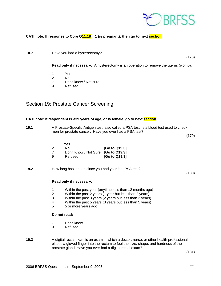

(178)

#### **CATI note: If response to Core Q11.18 = 1 (is pregnant); then go to next section.**

**18.7 Have you had a hysterectomy?** 

 **Read only if necessary:** A hysterectomy is an operation to remove the uterus (womb).

- 1 Yes<br>2 No
- No.
- 7 Don't know / Not sure<br>9 Refused
- **Refused**

## Section 19: Prostate Cancer Screening

#### CATI note: If respondent is <39 years of age, or is female, go to next section.

| 19.1 | A Prostate-Specific Antigen test, also called a PSA test, is a blood test used to check<br>men for prostate cancer. Have you ever had a PSA test?                                                                                                                                                   | (179) |  |  |  |  |
|------|-----------------------------------------------------------------------------------------------------------------------------------------------------------------------------------------------------------------------------------------------------------------------------------------------------|-------|--|--|--|--|
|      | Yes<br>1<br>$\overline{2}$<br>No.<br>[Go to Q19.3]<br>$\overline{7}$<br>Don't Know / Not Sure [Go to Q19.3]<br>9<br>Refused<br>[Go to Q19.3]                                                                                                                                                        |       |  |  |  |  |
| 19.2 | How long has it been since you had your last PSA test?<br>(180)                                                                                                                                                                                                                                     |       |  |  |  |  |
|      | Read only if necessary:                                                                                                                                                                                                                                                                             |       |  |  |  |  |
|      | 1<br>Within the past year (anytime less than 12 months ago)<br>$\overline{2}$<br>Within the past 2 years (1 year but less than 2 years)<br>3<br>Within the past 3 years (2 years but less than 3 years)<br>4<br>Within the past 5 years (3 years but less than 5 years)<br>5<br>5 or more years ago |       |  |  |  |  |
|      | Do not read:                                                                                                                                                                                                                                                                                        |       |  |  |  |  |
|      | 7<br>Don't know<br>9<br>Refused                                                                                                                                                                                                                                                                     |       |  |  |  |  |

**19.3** A digital rectal exam is an exam in which a doctor, nurse, or other health professional places a gloved finger into the rectum to feel the size, shape, and hardness of the prostate gland. Have you ever had a digital rectal exam?

(181)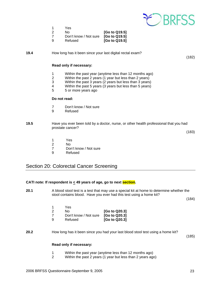

- 1 Yes
- 2 No **[Go to Q19.5]**
- 7 Don't know / Not sure **[Go to Q19.5]**
- 9 Refused **[Go to Q19.5]**

**19.4** How long has it been since your last digital rectal exam?

#### **Read only if necessary:**

- 1 Within the past year (anytime less than 12 months ago)<br>2 Within the past 2 years (1 year but less than 2 years)
- Within the past 2 years (1 year but less than 2 years)
- 3 Within the past 3 years (2 years but less than 3 years)
- 4 Within the past 5 years (3 years but less than 5 years)<br>5 5 or more years ago
- 5 5 or more years ago

#### **Do not read:**

- 7 Don't know / Not sure<br>9 Refused
- **Refused**
- **19.5** Have you ever been told by a doctor, nurse, or other health professional that you had prostate cancer?

(183)

(182)

- 1 Yes
- 2 No
	- 7 Don't know / Not sure
	- 9 Refused

## Section 20: Colorectal Cancer Screening

#### **CATI note: If respondent is < 49 years of age, go to next section.**

**20.1** A blood stool test is a test that may use a special kit at home to determine whether the stool contains blood. Have you ever had this test using a home kit?

(184)

|   | Yes                                 |                 |
|---|-------------------------------------|-----------------|
|   | N٥                                  | [Go to Q20.3]   |
|   | Don't know / Not sure [Go to Q20.3] |                 |
| a | Refused                             | $[Go$ to Q20.3] |

**20.2** How long has it been since you had your last blood stool test using a home kit?

(185)

#### **Read only if necessary:**

- 1 Within the past year (anytime less than 12 months ago)
- 2 Within the past 2 years (1 year but less than 2 years ago)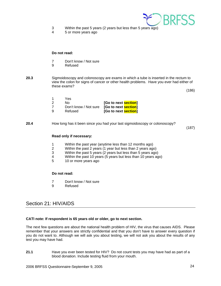

- 3 Within the past 5 years (2 years but less than 5 years ago)
- 4 5 or more years ago

- 7 Don't know / Not sure<br>9 Refused
- **Refused**
- **20.3** Sigmoidoscopy and colonoscopy are exams in which a tube is inserted in the rectum to view the colon for signs of cancer or other health problems. Have you ever had either of these exams?

(186)

| Yes                                               |                      |
|---------------------------------------------------|----------------------|
| No.                                               | [Go to next section] |
| Don't know / Not sure <b>[Go to next section]</b> |                      |
| Refused                                           | [Go to next section] |

#### **20.4** How long has it been since you had your last sigmoidoscopy or colonoscopy?

(187)

#### **Read only if necessary:**

- 1 Within the past year (anytime less than 12 months ago)
- 2 Within the past 2 years (1 year but less than 2 years ago)
- 3 Within the past 5 years (2 years but less than 5 years ago)
- 4 Within the past 10 years (5 years but less than 10 years ago)<br>5 10 or more vears ago
- 10 or more years ago

#### **Do not read:**

- 7 Don't know / Not sure
- 9 Refused

## Section 21: HIV/AIDS

#### **CATI note: If respondent is 65 years old or older, go to next section.**

The next few questions are about the national health problem of HIV, the virus that causes AIDS. Please remember that your answers are strictly confidential and that you don't have to answer every question if you do not want to. Although we will ask you about testing, we will not ask you about the results of any test you may have had.

**21.1** Have you ever been tested for HIV? Do not count tests you may have had as part of a blood donation. Include testing fluid from your mouth.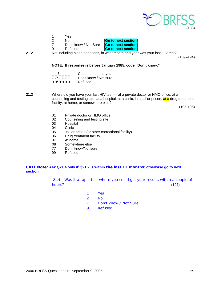

|   | Yes                   |                      |
|---|-----------------------|----------------------|
|   | N٥                    | [Go to next section] |
|   | Don't know / Not Sure | [Go to next section] |
| a | Refused               | [Go to next section] |
|   |                       |                      |

**21.2** Not including blood donations, in what month and year was your last HIV test?

(189–194)

#### **NOTE: If response is before January 1985, code "Don't know."**

|         | Code month and year   |
|---------|-----------------------|
| 77/7777 | Don't know / Not sure |
| 99/9999 | Refused               |

**21.3** Where did you have your last HIV test — at a private doctor or HMO office, at a counseling and testing site, at a hospital, at a clinic, in a jail or prison, at a drug treatment facility, at home, or somewhere else?

(195-196)

- 01 Private doctor or HMO office
- 02 Counseling and testing site<br>03 Hospital
- **Hospital**
- 04 Clinic
- 05 Jail or prison (or other correctional facility)
- 06 Drug treatment facility
- 07 At home
- 08 Somewhere else
- 77 Don't know/Not sure
- 99 Refused

#### **CATI Note: Ask Q21.4 only if Q21.2 is within the last 12 months; otherwise go to next section**

21.4 Was it a rapid test where you could get your results within a couple of hours? (197)

- 1 Yes
- 2 No
- 7 Don't know / Not Sure
- 9 Refused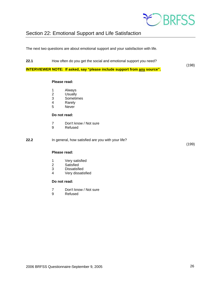

## Section 22: Emotional Support and Life Satisfaction

The next two questions are about emotional support and your satisfaction with life.

**22.1** How often do you get the social and emotional support you need?

**INTERVIEWER NOTE: If asked, say "please include support from any source".**

#### **Please read:**

- 1 Always
- 2 Usually
- 3 Sometimes
- **Rarely**
- 5 Never

#### **Do not read:**

- 7 Don't know / Not sure<br>9 Refused
- **Refused**

**22.2** In general, how satisfied are you with your life?

(199)

(198)

#### **Please read:**

- 1 Very satisfied<br>2 Satisfied
- **Satisfied**
- 3 Dissatisfied<br>4 Verv dissatis
- Very dissatisfied

#### **Do not read:**

- 7 Don't know / Not sure
- 9 Refused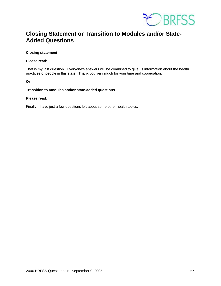

## **Closing Statement or Transition to Modules and/or State-Added Questions**

#### **Closing statement**

#### **Please read:**

That is my last question. Everyone's answers will be combined to give us information about the health practices of people in this state. Thank you very much for your time and cooperation.

**Or** 

#### **Transition to modules and/or state-added questions**

#### **Please read:**

Finally, I have just a few questions left about some other health topics.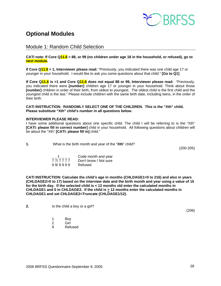

## **Optional Modules**

Module 1: Random Child Selection

#### **CATI note: If Core Q11.6 = 88, or 99 (no children under age 18 in the household, or refused), go to next module.**

**If Core Q11.6 = 1, Interviewer please read:** "Previously, you indicated there was one child age 17 or younger in your household. I would like to ask you some questions about that child." **[Go to Q1]**

**If Core Q11.6 is >1 and Core Q11.6 does not equal 88 or 99, Interviewer please read:** "Previously, you indicated there were **[number]** children age 17 or younger in your household. Think about those **[number]** children in order of their birth, from oldest to youngest. The oldest child is the first child and the youngest child is the last." Please include children with the same birth date, including twins, in the order of their birth.

**CATI INSTRUCTION: RANDOMLY SELECT ONE OF THE CHILDREN. This is the "Xth" child. Please substitute "Xth" child's number in all questions below.** 

#### **INTERVIEWER PLEASE READ:**

I have some additional questions about one specific child. The child I will be referring to is the "Xth" **[CATI: please fill in correct number]** child in your household. All following questions about children will be about the "Xth" **[CATI: please fill in]** child."

**1.** What is the birth month and year of the "**Xth**" child?

(200-205)

|         | Code month and year   |
|---------|-----------------------|
| 777777  | Don't know / Not sure |
| 99/9999 | Refused               |

**CATI INSTRUCTION: Calculate the child's age in months (CHLDAGE1=0 to 216) and also in years (CHLDAGE2=0 to 17) based on the interview date and the birth month and year using a value of 15 for the birth day. If the selected child is < 12 months old enter the calculated months in CHLDAGE1 and 0 in CHLDAGE2. If the child is > 12 months enter the calculated months in CHLDAGE1 and set CHLDAGE2=Truncate (CHLDAGE1/12).** 

**2.** Is the child a boy or a girl?

- 1 Boy
- 2 Girl
	- 9 Refused

(206)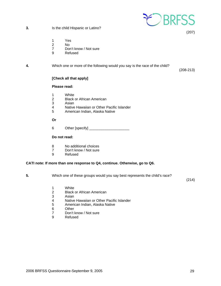

**3.** Is the child Hispanic or Latino?

(207)

- 1 Yes
- 2 No
- 7 Don't know / Not sure
- 9 Refused

#### **4.** Which one or more of the following would you say is the race of the child?

(208-213)

#### **[Check all that apply]**

#### **Please read:**

- 1 White<br>2 Black
- **Black or African American**
- 3 Asian<br>4 Native
- Native Hawaiian or Other Pacific Islander
- 5 American Indian, Alaska Native

 **Or** 

6 Other [specify] \_\_\_\_\_\_\_\_\_\_\_\_\_\_\_\_\_\_\_\_

#### **Do not read:**

- 8 No additional choices
- 7 Don't know / Not sure
- 9 Refused

#### **CATI note: If more than one response to Q4, continue. Otherwise, go to Q6.**

**5.** Which one of these groups would you say best represents the child's race?

(214)

- 1 White<br>2 Black
- **Black or African American**
- 3 Asian<br>4 Native
- 4 Native Hawaiian or Other Pacific Islander<br>5 American Indian, Alaska Native
- 5 American Indian, Alaska Native
- 6 Other<br>7 Don't
- 7 Don't know / Not sure<br>9 Refused
- **Refused**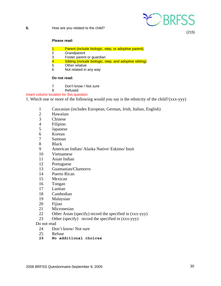

(215)

#### **Please read:**

- 1 Parent (include biologic, step, or adoptive parent)
- 2 Grandparent
- 3 Foster parent or guardian
- 4 Sibling (include biologic, step, and adoptive sibling)<br>5 Other relative
- Other relative
- 6 Not related in any way

#### **Do not read:**

- 7 Don't know / Not sure<br>9 Refused
- **Refused**

#### Insert column location for this question

1. Which one or more of the following would you say is the ethnicity of the child? (xxx-yyy)

- 1 Caucasian (includes European, German, Irish, Italian, English)
- 2 Hawaiian
- 3 Chinese
- 4 Filipino
- 5 Japanese
- 6 Korean
- 7 Samoan
- 8 Black
- 9 American Indian/ Alaska Native/ Eskimo/ Inuit
- 10 Vietnamese
- 11 Asian Indian
- 12 Portuguese
- 13 Guamanian/Chamorro
- 14 Puerto Rican
- 15 Mexican
- 16 Tongan
- 17 Laotian
- 18 Cambodian
- 19 Malaysian
- 20 Fijian
- 21 Micronesian
- 22 Other Asian (specify) record the specified in (xxx-yyy)
- 23 Other (specify) record the specified in (xxx-yyy)

#### Do not read

- 24 Don't know/ Not sure
- 25 Refuse<br>26 No add
- **26 No additional choices**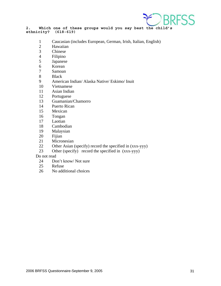

**2. Which one of these groups would you say best the child's ethnicity? (618-619)** 

- 1 Caucasian (includes European, German, Irish, Italian, English)
- 2 Hawaiian
- 3 Chinese
- 4 Filipino
- 5 Japanese
- 6 Korean
- 7 Samoan
- 8 Black
- 9 American Indian/ Alaska Native/ Eskimo/ Inuit
- 10 Vietnamese
- 11 Asian Indian
- 12 Portuguese
- 13 Guamanian/Chamorro
- 14 Puerto Rican
- 15 Mexican
- 16 Tongan
- 17 Laotian
- 18 Cambodian
- 19 Malaysian
- 20 Fijian
- 21 Micronesian
- 22 Other Asian (specify) record the specified in (xxx-yyy)
- 23 Other (specify) record the specified in (xxx-yyy)

Do not read

- 24 Don't know/ Not sure<br>25 Refuse
- Refuse
- 26 No additional choices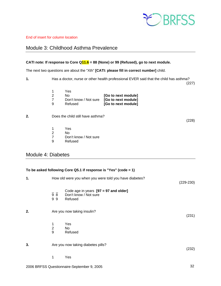

#### End of insert for column location

## Module 3: Childhood Asthma Prevalence

#### **CATI note: If response to Core Q11.6 = 88 (None) or 99 (Refused), go to next module.**

The next two questions are about the "Xth" **[CATI: please fill in correct number]** child.

**1.** Has a doctor, nurse or other health professional EVER said that the child has asthma?

(227)

|   | Yes                                       |                     |
|---|-------------------------------------------|---------------------|
|   | No.                                       | [Go to next module] |
|   | Don't know / Not sure [Go to next module] |                     |
| a | Refused                                   | [Go to next module] |

#### **2.** Does the child still have asthma?

(228)

- 1 Yes
- 2 No<br>7 Dor
- 7 Don't know / Not sure<br>9 Refused
- **Refused**

## Module 4: Diabetes

|                                   |                                                        | To be asked following Core Q5.1 if response is "Yes" (code = 1)             |       |
|-----------------------------------|--------------------------------------------------------|-----------------------------------------------------------------------------|-------|
| 1.                                | How old were you when you were told you have diabetes? |                                                                             |       |
|                                   | 98<br>99                                               | Code age in years $[97 = 97$ and older]<br>Don't know / Not sure<br>Refused |       |
| 2.<br>Are you now taking insulin? |                                                        |                                                                             | (231) |
|                                   | 1<br>$\overline{2}$<br>9                               | Yes<br>No<br>Refused                                                        |       |
| 3.                                |                                                        | Are you now taking diabetes pills?                                          |       |
|                                   | 1                                                      | Yes                                                                         |       |
|                                   |                                                        | 2000 BBFCC Questionnelles Centember 0, 2005                                 | つつ    |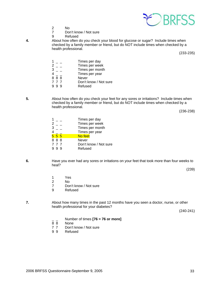

- 2 No<br>7 Dor
	- Don't know / Not sure
- 9 Refused<br>4. About how often

**4.** About how often do you check your blood for glucose or sugar? Include times when checked by a family member or friend, but do NOT include times when checked by a health professional.

(233-235)

|            | Times per day         |
|------------|-----------------------|
|            | Times per week        |
|            | Times per month       |
|            | Times per year        |
| 888        | <b>Never</b>          |
| 777        | Don't know / Not sure |
| - 9<br>-9. | Refused               |
|            |                       |

**5.** About how often do you check your feet for any sores or irritations? Include times when checked by a family member or friend, but do NOT include times when checked by a health professional.

(236-238)

|     | Times per day         |
|-----|-----------------------|
|     | Times per week        |
|     | Times per month       |
|     | Times per year        |
| 55  | No feet               |
| 888 | Never                 |
| 777 | Don't know / Not sure |
|     | Refused               |
|     |                       |

**6.** Have you ever had any sores or irritations on your feet that took more than four weeks to heal?

(239)

- 1 Yes
- 2 No<br>7 Dor
- Don't know / Not sure
- 9 Refused

**7.** About how many times in the past 12 months have you seen a doctor, nurse, or other health professional for your diabetes?

(240-241)

- $\frac{1}{8}$  Number of times **[76 = 76 or more]**
- None
- 7 7 Don't know / Not sure
- 9 9 Refused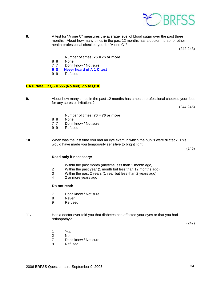

**8.** A test for "A one C" measures the average level of blood sugar over the past three months. About how many times in the past 12 months has a doctor, nurse, or other health professional checked you for "A one C"?

(242-243)

- \_ \_ Number of times **[76 = 76 or more]**
- 8 8 None<br>7 7 Don't
- Don't know / Not sure
- **9 8 Never heard of A 1 C test**
- 9 9 Refused

#### **CATI Note: If Q5 = 555 (No feet), go to Q10.**

**9.** About how many times in the past 12 months has a health professional checked your feet for any sores or irritations?

(244-245)

- \_ \_ Number of times **[76 = 76 or more]**
- 8 8 None<br>7 7 Don't
- 7 7 Don't know / Not sure<br>9 9 Refused
- **Refused**

**10.** When was the last time you had an eye exam in which the pupils were dilated? This would have made you temporarily sensitive to bright light.

(246)

#### **Read only if necessary:**

- 1 Within the past month (anytime less than 1 month ago)
- 2 Within the past year (1 month but less than 12 months ago)<br>3 Within the past 2 years (1 year but less than 2 years ago)
- Within the past 2 years (1 year but less than 2 years ago)
- 4 2 or more years ago

#### **Do not read:**

- 7 Don't know / Not sure
- 8 Never<br>9 Refuse
- **Refused**
- **11.** Has a doctor ever told you that diabetes has affected your eyes or that you had retinopathy?

(247)

- 1 Yes
- 2 No
	- 7 Don't know / Not sure
	- 9 Refused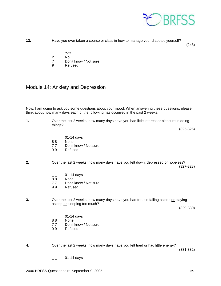

**12.** Have you ever taken a course or class in how to manage your diabetes yourself?

(248)

- 1 Yes<br>2 No
- 2 No<br>7 Dor
- 7 Don't know / Not sure<br>9 Refused
- **Refused**

## Module 14: Anxiety and Depression

Now, I am going to ask you some questions about your mood. When answering these questions, please think about how many days each of the following has occurred in the past 2 weeks.

| 1. | Over the last 2 weeks, how many days have you had little interest or pleasure in doing<br>things? |                                                                                                                     |               |
|----|---------------------------------------------------------------------------------------------------|---------------------------------------------------------------------------------------------------------------------|---------------|
|    |                                                                                                   |                                                                                                                     | $(325-326)$   |
|    | 88<br>77<br>99                                                                                    | 01-14 days<br>None<br>Don't know / Not sure<br>Refused                                                              |               |
| 2. |                                                                                                   | Over the last 2 weeks, how many days have you felt down, depressed or hopeless?                                     | $(327-328)$   |
|    | 88<br>77<br>99                                                                                    | 01-14 days<br>None<br>Don't know / Not sure<br>Refused                                                              |               |
| 3. |                                                                                                   | Over the last 2 weeks, how many days have you had trouble falling asleep or staying<br>asleep or sleeping too much? | $(329-330)$   |
|    | 88<br>77<br>99                                                                                    | 01-14 days<br>None<br>Don't know / Not sure<br>Refused                                                              |               |
| 4. |                                                                                                   | Over the last 2 weeks, how many days have you felt tired or had little energy?                                      | $(331 - 332)$ |
|    |                                                                                                   | 01-14 days                                                                                                          |               |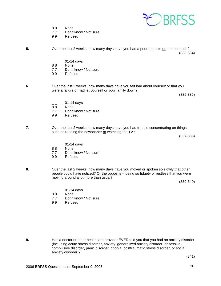

- 8 8 None
- 77 Don't know / Not sure
- 9 9 Refused
- **5.** Over the last 2 weeks, how many days have you had a poor appetite or ate too much? (333-334)
	- $\frac{1}{88}$  01-14 days
	- None
	- 77 Don't know / Not sure<br>99 Refused
	- **Refused**
- **6.** Over the last 2 weeks, how many days have you felt bad about yourself or that you were a failure or had let yourself or your family down?

(335-336)

- 01-14 days
- 88 None<br>77 Don't
- 77 Don't know / Not sure<br>99 Refused
- **Refused**
- **7**. Over the last 2 weeks, how many days have you had trouble concentrating on things, such as reading the newspaper or watching the TV?

(337-338)

- $\frac{1}{88}$  01-14 days
- **None**
- 7 7 Don't know / Not sure
- 9 9 Refused
- **8.** Over the last 2 weeks, how many days have you moved or spoken so slowly that other people could have noticed? Or the opposite – being so fidgety or restless that you were moving around a lot more than usual?

(339-340)

- 01-14 days
- 8 8 None
- 77 Don't know / Not sure<br>99 Refused
- **Refused**

**9.** Has a doctor or other healthcare provider EVER told you that you had an anxiety disorder (including acute stress disorder, anxiety, generalized anxiety disorder, obsessive compulsive disorder, panic disorder, phobia, posttraumatic stress disorder, or social anxiety disorder)?

(341)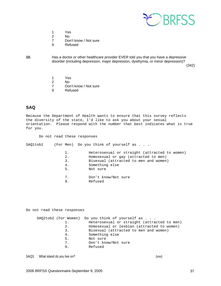

- 1 Yes
- 2 No<br>7 Doi
- Don't know / Not sure
- 9 Refused

**10.** Has a doctor or other healthcare provider EVER told you that you have a depressive disorder (including depression, major depression, dysthymia, or minor depression)?

(342)

- 1 Yes
- 2 No
- 7 Don't know / Not sure<br>9 Refused
- **Refused**

#### **SAQ**

Because the Department of Health wants to ensure that this survey reflects the diversity of the state, I'd like to ask you about your sexual orientation. Please respond with the number that best indicates what is true for you.

Do not read these responses

SAQ1tob1 (For Men) Do you think of yourself as . . .

|    | Heterosexual or straight (attracted to women) |
|----|-----------------------------------------------|
| 2. | Homosexual or gay (attracted to men)          |
| 3. | Bisexual (attracted to men and women)         |
| 4. | Something else                                |
| 5. | Not sure                                      |

- 7. Don't know/Not sure<br>9. Refused
	- 9. Refused

Do not read these responses

|    | SAQ2tob2 (For Women) Do you think of yourself as |
|----|--------------------------------------------------|
| 1. | Heterosexual or straight (attracted to men)      |
| 2. | Homosexual or lesbian (attracted to women)       |
| 3. | Bisexual (attracted to men and women)            |
| 4. | Something else                                   |
| 5. | Not sure                                         |
| 7. | Don't know/Not sure                              |
| 9. | Refused                                          |
|    |                                                  |

SAQ3. What island do you live on? The same of the same of the same of the same of the same of the same of the same of the same of the same of the same of the same of the same of the same of the same of the same of the same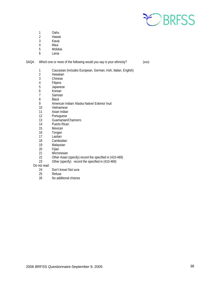

- 1 Oahu<br>2 Hawai
- **Hawaii**
- 3 Kauai
- 
- 4 Maui<br>5 Molok **Molokai**
- 6 Lanai

SAQ4. Which one or more of the following would you say is your ethnicity? (xxx)

- 1 Caucasian (includes European, German, Irish, Italian, English)
- **Hawaiian**
- 3 Chinese
- 4 Filipino<br>5 Japanes
- 5 Japanese
- 6 Korean<br>7 Samoan
- 7 Samoan<br>8 Black
- 8 Black<br>9 Ameri
- 9 American Indian/ Alaska Native/ Eskimo/ Inuit<br>10 Vietnamese
- Vietnamese
- 11 Asian Indian<br>12 Portuguese
- Portuguese
- 13 Guamanian/Chamorro
- 14 Puerto Rican<br>15 Mexican
- Mexican
- 16 Tongan
- 17 Laotian<br>18 Cambod
- Cambodian
- 19 Malaysian
- 20 Fijian<br>21 Micror
- 21 Micronesian<br>22 Other Asian
- Other Asian (specify) record the specified in (410-469)
- 23 Other (specify) record the specified in (410-469)

## Do not read

- Don't know/ Not sure
- 25 Refuse<br>26 No addi
- No additional choices